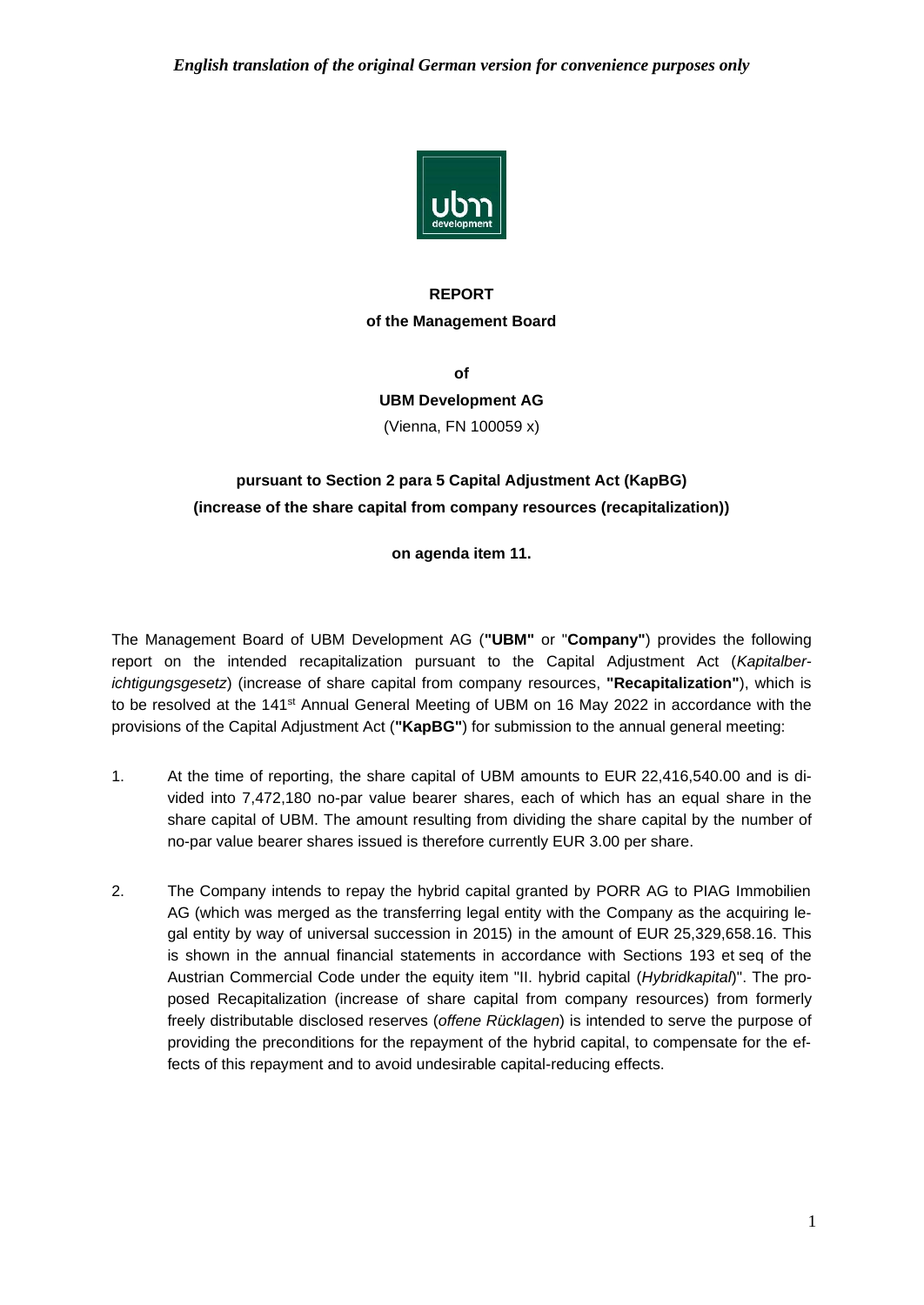

## **REPORT of the Management Board**

**of**

### **UBM Development AG**

(Vienna, FN 100059 x)

# **pursuant to Section 2 para 5 Capital Adjustment Act (KapBG) (increase of the share capital from company resources (recapitalization))**

**on agenda item 11.**

The Management Board of UBM Development AG (**"UBM"** or "**Company"**) provides the following report on the intended recapitalization pursuant to the Capital Adjustment Act (*Kapitalberichtigungsgesetz*) (increase of share capital from company resources, **"Recapitalization"**), which is to be resolved at the 141<sup>st</sup> Annual General Meeting of UBM on 16 May 2022 in accordance with the provisions of the Capital Adjustment Act (**"KapBG"**) for submission to the annual general meeting:

- 1. At the time of reporting, the share capital of UBM amounts to EUR 22,416,540.00 and is divided into 7,472,180 no-par value bearer shares, each of which has an equal share in the share capital of UBM. The amount resulting from dividing the share capital by the number of no-par value bearer shares issued is therefore currently EUR 3.00 per share.
- 2. The Company intends to repay the hybrid capital granted by PORR AG to PIAG Immobilien AG (which was merged as the transferring legal entity with the Company as the acquiring legal entity by way of universal succession in 2015) in the amount of EUR 25,329,658.16. This is shown in the annual financial statements in accordance with Sections 193 et seq of the Austrian Commercial Code under the equity item "II. hybrid capital (*Hybridkapital*)". The proposed Recapitalization (increase of share capital from company resources) from formerly freely distributable disclosed reserves (*offene Rücklagen*) is intended to serve the purpose of providing the preconditions for the repayment of the hybrid capital, to compensate for the effects of this repayment and to avoid undesirable capital-reducing effects.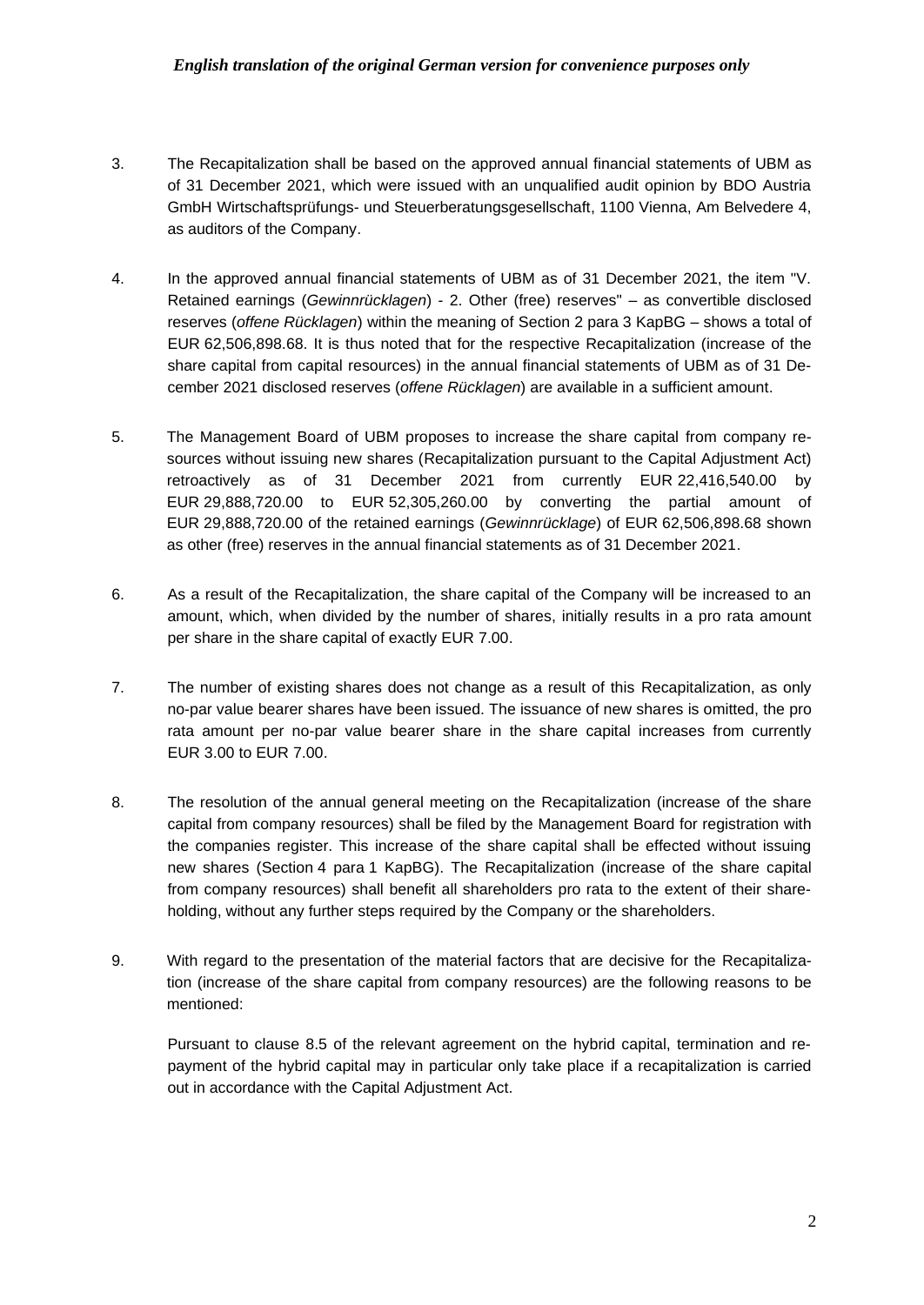### *English translation of the original German version for convenience purposes only*

- 3. The Recapitalization shall be based on the approved annual financial statements of UBM as of 31 December 2021, which were issued with an unqualified audit opinion by BDO Austria GmbH Wirtschaftsprüfungs- und Steuerberatungsgesellschaft, 1100 Vienna, Am Belvedere 4, as auditors of the Company.
- 4. In the approved annual financial statements of UBM as of 31 December 2021, the item "V. Retained earnings (*Gewinnrücklagen*) - 2. Other (free) reserves" – as convertible disclosed reserves (*offene Rücklagen*) within the meaning of Section 2 para 3 KapBG – shows a total of EUR 62,506,898.68. It is thus noted that for the respective Recapitalization (increase of the share capital from capital resources) in the annual financial statements of UBM as of 31 December 2021 disclosed reserves (*offene Rücklagen*) are available in a sufficient amount.
- 5. The Management Board of UBM proposes to increase the share capital from company resources without issuing new shares (Recapitalization pursuant to the Capital Adjustment Act) retroactively as of 31 December 2021 from currently EUR 22,416,540.00 by EUR 29,888,720.00 to EUR 52,305,260.00 by converting the partial amount of EUR 29,888,720.00 of the retained earnings (*Gewinnrücklage*) of EUR 62,506,898.68 shown as other (free) reserves in the annual financial statements as of 31 December 2021.
- 6. As a result of the Recapitalization, the share capital of the Company will be increased to an amount, which, when divided by the number of shares, initially results in a pro rata amount per share in the share capital of exactly EUR 7.00.
- 7. The number of existing shares does not change as a result of this Recapitalization, as only no-par value bearer shares have been issued. The issuance of new shares is omitted, the pro rata amount per no-par value bearer share in the share capital increases from currently EUR 3.00 to EUR 7.00.
- 8. The resolution of the annual general meeting on the Recapitalization (increase of the share capital from company resources) shall be filed by the Management Board for registration with the companies register. This increase of the share capital shall be effected without issuing new shares (Section 4 para 1 KapBG). The Recapitalization (increase of the share capital from company resources) shall benefit all shareholders pro rata to the extent of their shareholding, without any further steps required by the Company or the shareholders.
- 9. With regard to the presentation of the material factors that are decisive for the Recapitalization (increase of the share capital from company resources) are the following reasons to be mentioned:

Pursuant to clause 8.5 of the relevant agreement on the hybrid capital, termination and repayment of the hybrid capital may in particular only take place if a recapitalization is carried out in accordance with the Capital Adjustment Act.